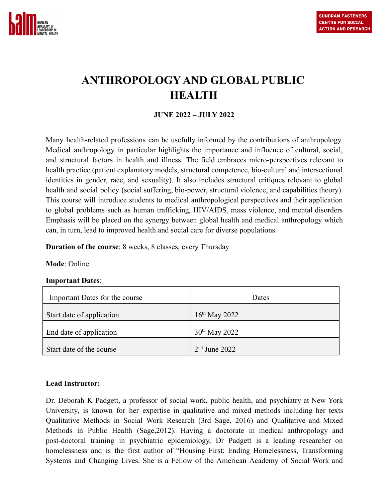

# **ANTHROPOLOGY AND GLOBAL PUBLIC HEALTH**

# **JUNE 2022 – JULY 2022**

Many health-related professions can be usefully informed by the contributions of anthropology. Medical anthropology in particular highlights the importance and influence of cultural, social, and structural factors in health and illness. The field embraces micro-perspectives relevant to health practice (patient explanatory models, structural competence, bio-cultural and intersectional identities in gender, race, and sexuality). It also includes structural critiques relevant to global health and social policy (social suffering, bio-power, structural violence, and capabilities theory). This course will introduce students to medical anthropological perspectives and their application to global problems such as human trafficking, HIV/AIDS, mass violence, and mental disorders Emphasis will be placed on the synergy between global health and medical anthropology which can, in turn, lead to improved health and social care for diverse populations.

**Duration of the course**: 8 weeks, 8 classes, every Thursday

#### **Mode**: Online

#### **Important Dates**:

| Important Dates for the course | Dates              |
|--------------------------------|--------------------|
| Start date of application      | $16^{th}$ May 2022 |
| End date of application        | $30^{th}$ May 2022 |
| Start date of the course       | $2nd$ June 2022    |

#### **Lead Instructor:**

Dr. Deborah K Padgett, a professor of social work, public health, and psychiatry at New York University, is known for her expertise in qualitative and mixed methods including her texts Qualitative Methods in Social Work Research (3rd Sage, 2016) and Qualitative and Mixed Methods in Public Health (Sage,2012). Having a doctorate in medical anthropology and post-doctoral training in psychiatric epidemiology, Dr Padgett is a leading researcher on homelessness and is the first author of "Housing First: Ending Homelessness, Transforming Systems and Changing Lives. She is a Fellow of the American Academy of Social Work and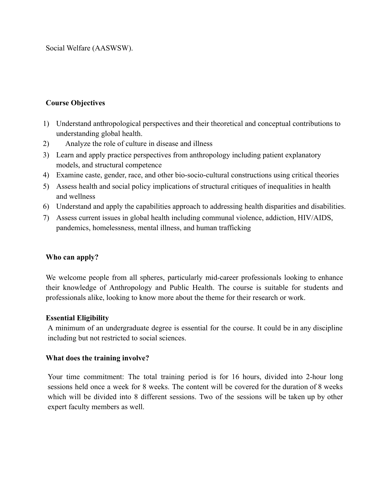Social Welfare (AASWSW).

# **Course Objectives**

- 1) Understand anthropological perspectives and their theoretical and conceptual contributions to understanding global health.
- 2) Analyze the role of culture in disease and illness
- 3) Learn and apply practice perspectives from anthropology including patient explanatory models, and structural competence
- 4) Examine caste, gender, race, and other bio-socio-cultural constructions using critical theories
- 5) Assess health and social policy implications of structural critiques of inequalities in health and wellness
- 6) Understand and apply the capabilities approach to addressing health disparities and disabilities.
- 7) Assess current issues in global health including communal violence, addiction, HIV/AIDS, pandemics, homelessness, mental illness, and human trafficking

# **Who can apply?**

We welcome people from all spheres, particularly mid-career professionals looking to enhance their knowledge of Anthropology and Public Health. The course is suitable for students and professionals alike, looking to know more about the theme for their research or work.

# **Essential Eligibility**

A minimum of an undergraduate degree is essential for the course. It could be in any discipline including but not restricted to social sciences.

# **What does the training involve?**

Your time commitment: The total training period is for 16 hours, divided into 2-hour long sessions held once a week for 8 weeks. The content will be covered for the duration of 8 weeks which will be divided into 8 different sessions. Two of the sessions will be taken up by other expert faculty members as well.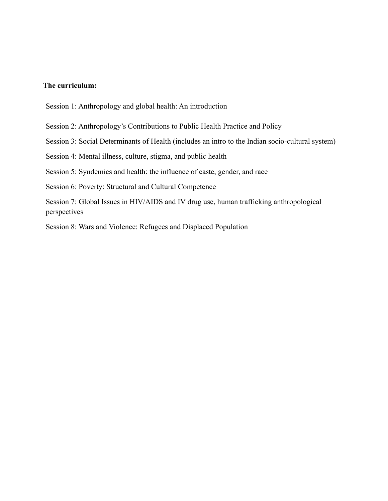#### **The curriculum:**

- Session 1: Anthropology and global health: An introduction
- Session 2: Anthropology's Contributions to Public Health Practice and Policy
- Session 3: Social Determinants of Health (includes an intro to the Indian socio-cultural system)

Session 4: Mental illness, culture, stigma, and public health

Session 5: Syndemics and health: the influence of caste, gender, and race

Session 6: Poverty: Structural and Cultural Competence

Session 7: Global Issues in HIV/AIDS and IV drug use, human trafficking anthropological perspectives

Session 8: Wars and Violence: Refugees and Displaced Population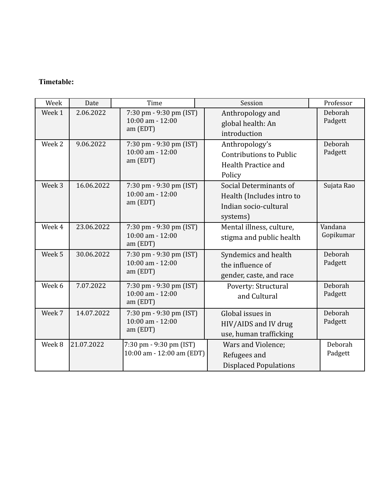# **Timetable:**

| Week   | Date       | Time                                                        | Session                                                                                  | Professor            |
|--------|------------|-------------------------------------------------------------|------------------------------------------------------------------------------------------|----------------------|
| Week 1 | 2.06.2022  | 7:30 pm - 9:30 pm (IST)<br>10:00 am - 12:00<br>am (EDT)     | Anthropology and<br>global health: An<br>introduction                                    | Deborah<br>Padgett   |
| Week 2 | 9.06.2022  | 7:30 pm - 9:30 pm (IST)<br>10:00 am - 12:00<br>am (EDT)     | Anthropology's<br><b>Contributions to Public</b><br>Health Practice and<br>Policy        | Deborah<br>Padgett   |
| Week 3 | 16.06.2022 | 7:30 pm - 9:30 pm (IST)<br>10:00 am - 12:00<br>am (EDT)     | Social Determinants of<br>Health (Includes intro to<br>Indian socio-cultural<br>systems) | Sujata Rao           |
| Week 4 | 23.06.2022 | 7:30 pm - 9:30 pm (IST)<br>$10:00$ am - $12:00$<br>am (EDT) | Mental illness, culture,<br>stigma and public health                                     | Vandana<br>Gopikumar |
| Week 5 | 30.06.2022 | 7:30 pm - 9:30 pm (IST)<br>$10:00$ am - $12:00$<br>am (EDT) | Syndemics and health<br>the influence of<br>gender, caste, and race                      | Deborah<br>Padgett   |
| Week 6 | 7.07.2022  | 7:30 pm - 9:30 pm (IST)<br>10:00 am - 12:00<br>am (EDT)     | Poverty: Structural<br>and Cultural                                                      | Deborah<br>Padgett   |
| Week 7 | 14.07.2022 | 7:30 pm - 9:30 pm (IST)<br>10:00 am - 12:00<br>am (EDT)     | Global issues in<br>HIV/AIDS and IV drug<br>use, human trafficking                       | Deborah<br>Padgett   |
| Week 8 | 21.07.2022 | 7:30 pm - 9:30 pm (IST)<br>10:00 am - 12:00 am (EDT)        | Wars and Violence;<br>Refugees and<br><b>Displaced Populations</b>                       | Deborah<br>Padgett   |